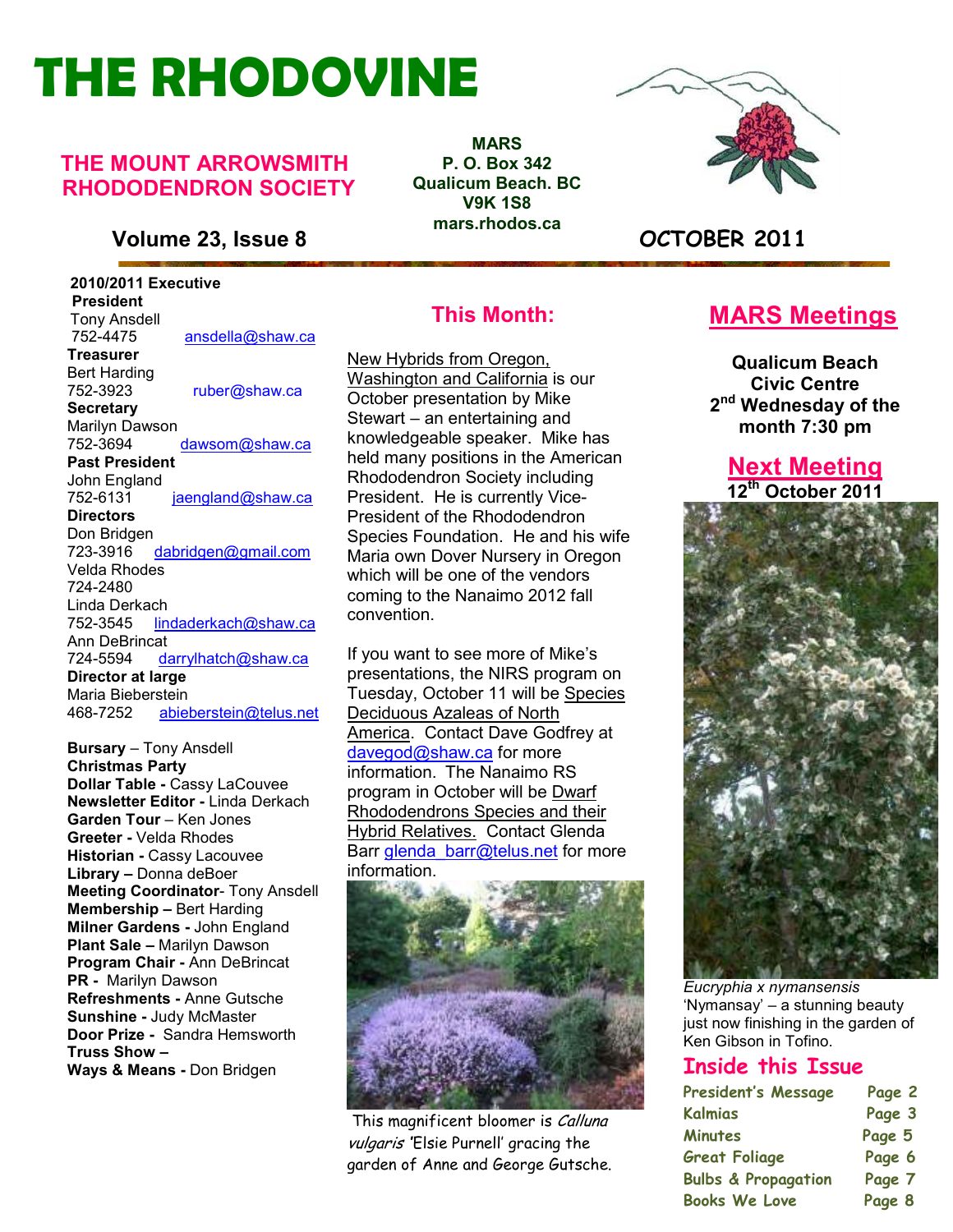# **THE RHODOVINE**

#### **THE MOUNT ARROWSMITH RHODODENDRON SOCIETY**

**Volume 23, Issue 8 OCTOBER 2011**

 **2010/2011 Executive President**  Tony Ansdell<br>752-4475 752-4475 ansdella@shaw.ca **Treasurer**  Bert Harding 752-3923 ruber@shaw.ca **Secretary** Marilyn Dawson<br>752-3694 dawsom@shaw.ca **Past President**  John England 752-6131 jaengland@shaw.ca **Directors**  Don Bridgen<br>723-3916 dabridgen@gmail.com Velda Rhodes 724-2480 Linda Derkach 752-3545 lindaderkach@shaw.ca Ann DeBrincat<br>724-5594 da darrylhatch@shaw.ca **Director at large**  Maria Bieberstein 468-7252 abieberstein@telus.net

Page 2 The Rhodovine Voltaire Voltaire Voltaire Voltaire Voltaire Voltaire Voltaire Voltaire Voltaire Voltaire<br>Page 2 The Rhodovine Voltaire Voltaire Voltaire Voltaire Voltaire Voltaire Voltaire Voltaire Voltaire Voltaire<br> **Bursary** – Tony Ansdell **Christmas Party Dollar Table -** Cassy LaCouvee **Newsletter Editor -** Linda Derkach **Garden Tour** – Ken Jones **Greeter -** Velda Rhodes **Historian -** Cassy Lacouvee **Library –** Donna deBoer **Meeting Coordinator**- Tony Ansdell **Membership –** Bert Harding **Milner Gardens -** John England **Plant Sale –** Marilyn Dawson **Program Chair -** Ann DeBrincat **PR -** Marilyn Dawson **Refreshments -** Anne Gutsche **Sunshine -** Judy McMaster **Door Prize -** Sandra Hemsworth **Truss Show –** 

**MARS P. O. Box 342 Qualicum Beach. BC V9K 1S8 mars.rhodos.ca** 



#### **This Month:**

New Hybrids from Oregon, Washington and California is our October presentation by Mike Stewart – an entertaining and knowledgeable speaker. Mike has held many positions in the American Rhododendron Society including President. He is currently Vice-President of the Rhododendron Species Foundation. He and his wife Maria own Dover Nursery in Oregon which will be one of the vendors coming to the Nanaimo 2012 fall convention.

If you want to see more of Mike's presentations, the NIRS program on Tuesday, October 11 will be Species Deciduous Azaleas of North America. Contact Dave Godfrey at davegod@shaw.ca for more information. The Nanaimo RS program in October will be Dwarf Rhododendrons Species and their Hybrid Relatives. Contact Glenda Barr glenda\_barr@telus.net for more information.



This magnificent bloomer is Calluna vulgaris 'Elsie Purnell' gracing the garden of Anne and George Gutsche.

#### **MARS Meetings**

**Qualicum Beach Civic Centre 2 nd Wednesday of the month 7:30 pm** 

#### **Next Meeting 12th October 2011**



*Eucryphia x nymansensis* 'Nymansay' – a stunning beauty just now finishing in the garden of Ken Gibson in Tofino.

#### **Inside this Issue**

| <b>President's Message</b>     | Page 2 |
|--------------------------------|--------|
| <b>Kalmias</b>                 | Page 3 |
| <b>Minutes</b>                 | Page 5 |
| <b>Great Foliage</b>           | Page 6 |
| <b>Bulbs &amp; Propagation</b> | Page 7 |
| <b>Books We Love</b>           | Page 8 |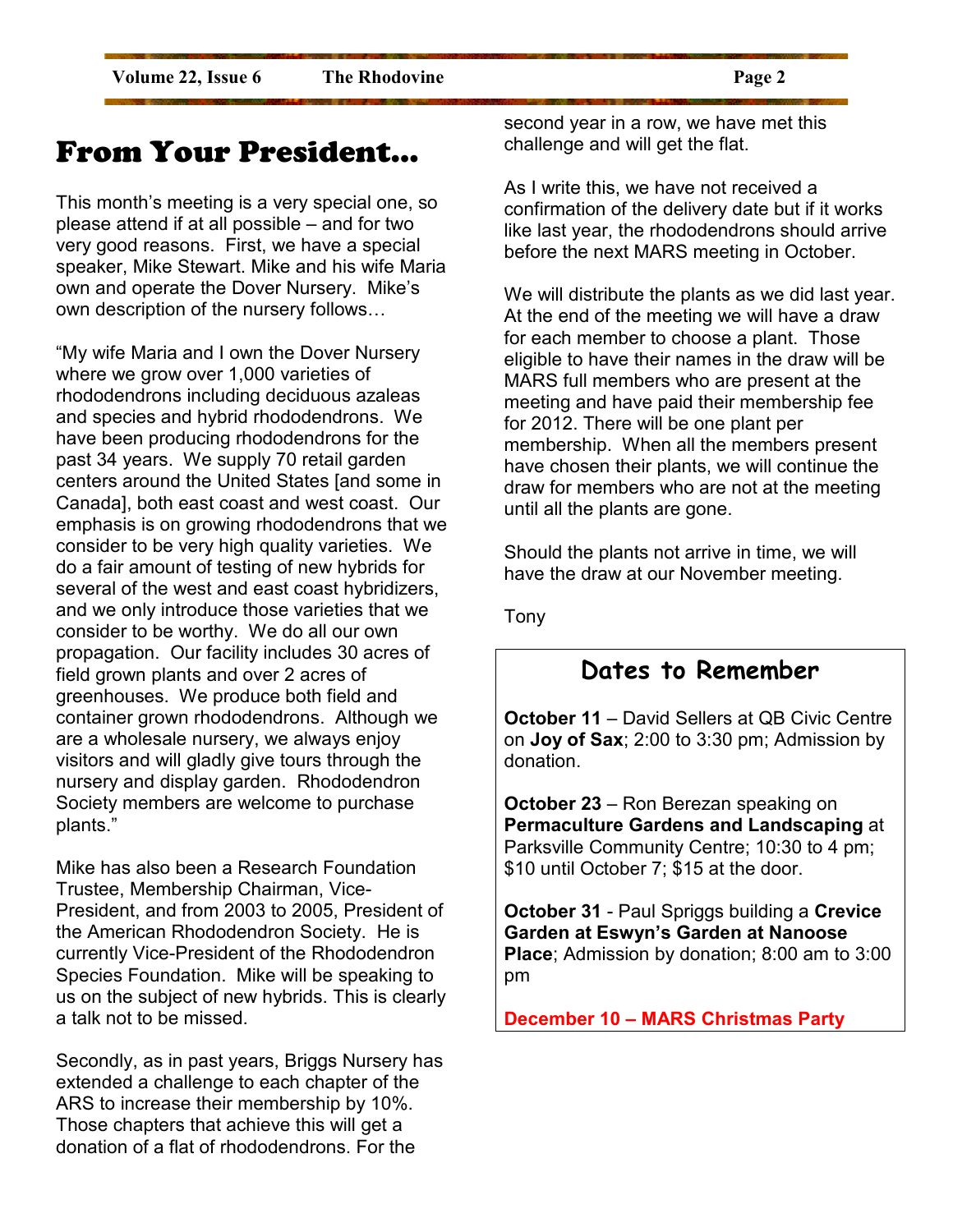### From Your President…

This month's meeting is a very special one, so please attend if at all possible – and for two very good reasons. First, we have a special speaker, Mike Stewart. Mike and his wife Maria own and operate the Dover Nursery. Mike's own description of the nursery follows...

"My wife Maria and I own the Dover Nursery where we grow over 1,000 varieties of rhododendrons including deciduous azaleas and species and hybrid rhododendrons. We have been producing rhododendrons for the past 34 years. We supply 70 retail garden centers around the United States [and some in Canada], both east coast and west coast. Our emphasis is on growing rhododendrons that we consider to be very high quality varieties. We do a fair amount of testing of new hybrids for several of the west and east coast hybridizers, and we only introduce those varieties that we consider to be worthy. We do all our own propagation. Our facility includes 30 acres of field grown plants and over 2 acres of greenhouses. We produce both field and container grown rhododendrons. Although we are a wholesale nursery, we always enjoy visitors and will gladly give tours through the nursery and display garden. Rhododendron Society members are welcome to purchase plants."

Mike has also been a Research Foundation Trustee, Membership Chairman, Vice-President, and from 2003 to 2005, President of the American Rhododendron Society. He is currently Vice-President of the Rhododendron Species Foundation. Mike will be speaking to us on the subject of new hybrids. This is clearly a talk not to be missed.

Secondly, as in past years, Briggs Nursery has extended a challenge to each chapter of the ARS to increase their membership by 10%. Those chapters that achieve this will get a donation of a flat of rhododendrons. For the

second year in a row, we have met this challenge and will get the flat.

As I write this, we have not received a confirmation of the delivery date but if it works like last year, the rhododendrons should arrive before the next MARS meeting in October.

We will distribute the plants as we did last year. At the end of the meeting we will have a draw for each member to choose a plant. Those eligible to have their names in the draw will be MARS full members who are present at the meeting and have paid their membership fee for 2012. There will be one plant per membership. When all the members present have chosen their plants, we will continue the draw for members who are not at the meeting until all the plants are gone.

Should the plants not arrive in time, we will have the draw at our November meeting.

Tony

#### **Dates to Remember**

**October 11** – David Sellers at QB Civic Centre on **Joy of Sax**; 2:00 to 3:30 pm; Admission by donation.

**October 23** – Ron Berezan speaking on **Permaculture Gardens and Landscaping** at Parksville Community Centre; 10:30 to 4 pm; \$10 until October 7; \$15 at the door.

**October 31** - Paul Spriggs building a **Crevice Garden at Eswyn's Garden at Nanoose Place**; Admission by donation; 8:00 am to 3:00 pm

**December 10 – MARS Christmas Party**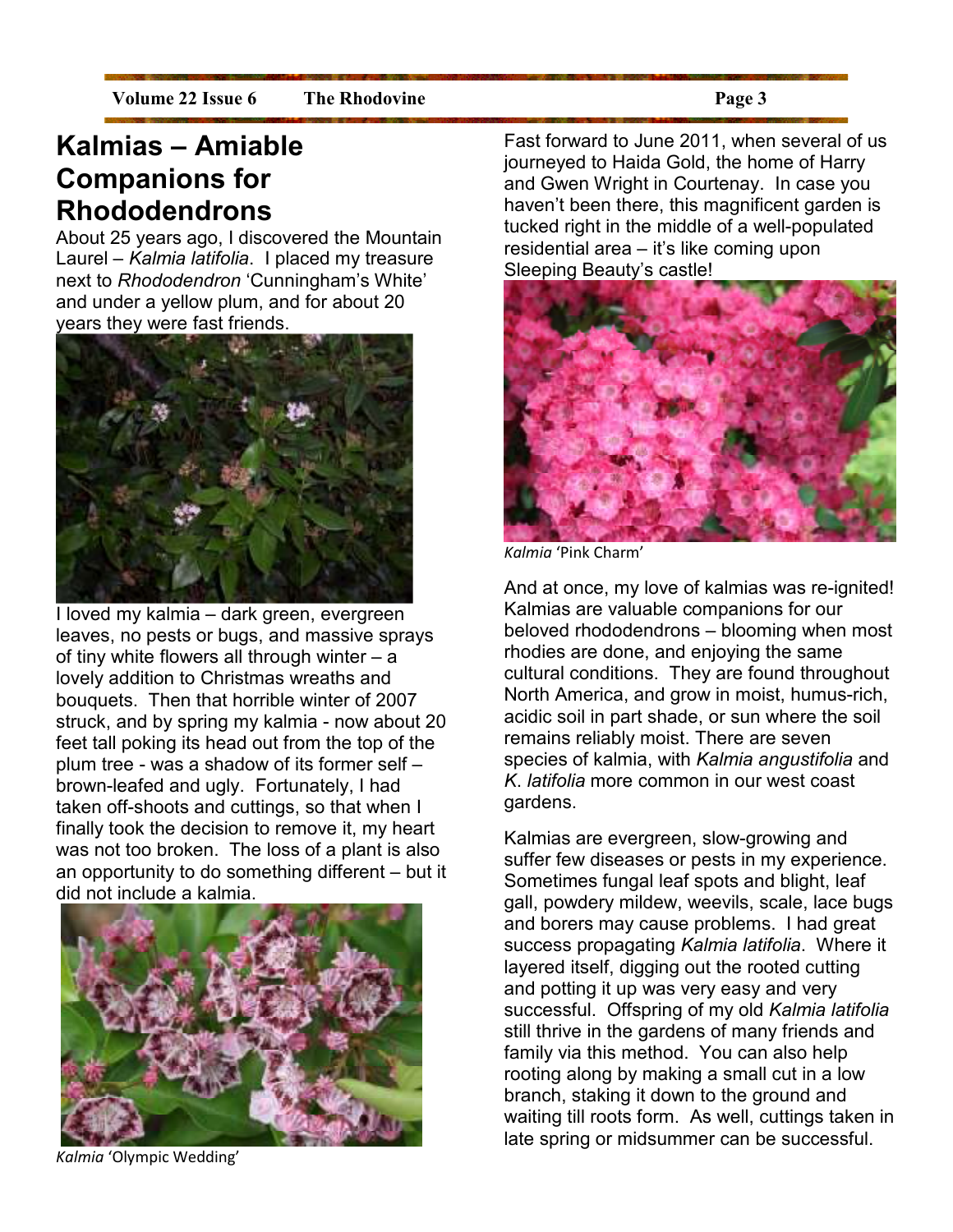#### **Kalmias – Amiable Companions for Rhododendrons**

About 25 years ago, I discovered the Mountain Laurel – *Kalmia latifolia*. I placed my treasure next to *Rhododendron* 'Cunningham's White' and under a yellow plum, and for about 20 years they were fast friends.



I loved my kalmia – dark green, evergreen leaves, no pests or bugs, and massive sprays of tiny white flowers all through winter  $- a$ lovely addition to Christmas wreaths and bouquets. Then that horrible winter of 2007 struck, and by spring my kalmia - now about 20 feet tall poking its head out from the top of the plum tree - was a shadow of its former self – brown-leafed and ugly. Fortunately, I had taken off-shoots and cuttings, so that when I finally took the decision to remove it, my heart was not too broken. The loss of a plant is also an opportunity to do something different – but it did not include a kalmia.



*Kalmia* 'Olympic Wedding'

Fast forward to June 2011, when several of us journeyed to Haida Gold, the home of Harry and Gwen Wright in Courtenay. In case you haven't been there, this magnificent garden is tucked right in the middle of a well-populated residential area – it's like coming upon Sleeping Beauty's castle!



*Kalmia* 'Pink Charm'

And at once, my love of kalmias was re-ignited! Kalmias are valuable companions for our beloved rhododendrons – blooming when most rhodies are done, and enjoying the same cultural conditions. They are found throughout North America, and grow in moist, humus-rich, acidic soil in part shade, or sun where the soil remains reliably moist. There are seven species of kalmia, with *Kalmia angustifolia* and *K*. *latifolia* more common in our west coast gardens.

Kalmias are evergreen, slow-growing and suffer few diseases or pests in my experience. Sometimes fungal leaf spots and blight, leaf gall, powdery mildew, weevils, scale, lace bugs and borers may cause problems. I had great success propagating *Kalmia latifolia*. Where it layered itself, digging out the rooted cutting and potting it up was very easy and very successful. Offspring of my old *Kalmia latifolia* still thrive in the gardens of many friends and family via this method. You can also help rooting along by making a small cut in a low branch, staking it down to the ground and waiting till roots form. As well, cuttings taken in late spring or midsummer can be successful.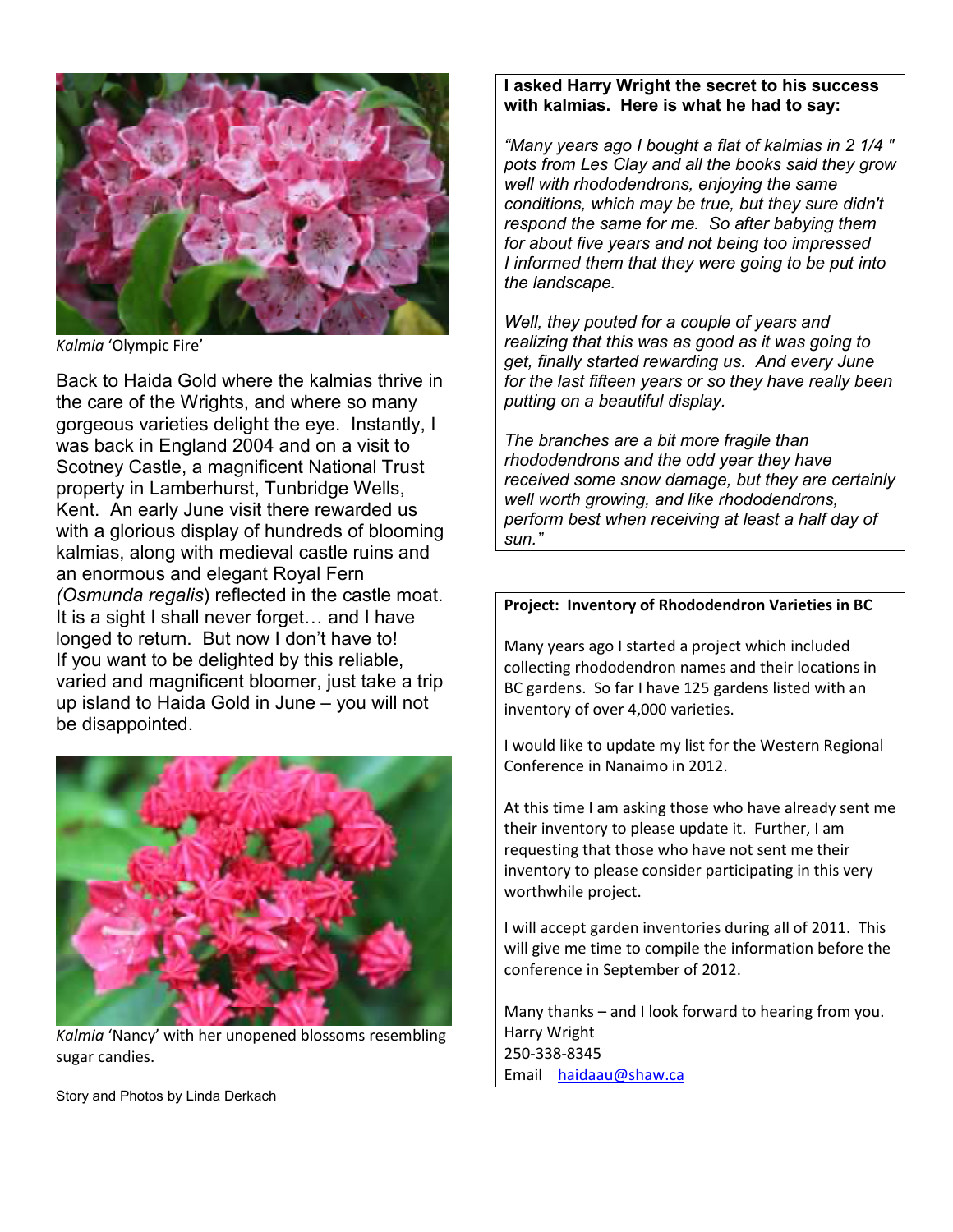

*Kalmia* 'Olympic Fire'

Back to Haida Gold where the kalmias thrive in the care of the Wrights, and where so many gorgeous varieties delight the eye. Instantly, I was back in England 2004 and on a visit to Scotney Castle, a magnificent National Trust property in Lamberhurst, Tunbridge Wells, Kent. An early June visit there rewarded us with a glorious display of hundreds of blooming kalmias, along with medieval castle ruins and an enormous and elegant Royal Fern *(Osmunda regalis*) reflected in the castle moat. It is a sight I shall never forget... and I have longed to return. But now I don't have to! If you want to be delighted by this reliable, varied and magnificent bloomer, just take a trip up island to Haida Gold in June – you will not be disappointed.



*Kalmia* 'Nancy' with her unopened blossoms resembling sugar candies.

#### **I asked Harry Wright the secret to his success with kalmias. Here is what he had to say:**

*"Many years ago I bought a flat of kalmias in 2 1/4 " pots from Les Clay and all the books said they grow well with rhododendrons, enjoying the same conditions, which may be true, but they sure didn't respond the same for me. So after babying them for about five years and not being too impressed I informed them that they were going to be put into the landscape.* 

*Well, they pouted for a couple of years and realizing that this was as good as it was going to get, finally started rewarding us. And every June for the last fifteen years or so they have really been putting on a beautiful display.* 

*The branches are a bit more fragile than rhododendrons and the odd year they have received some snow damage, but they are certainly well worth growing, and like rhododendrons, perform best when receiving at least a half day of sun."* 

#### **Project: Inventory of Rhododendron Varieties in BC**

Many years ago I started a project which included collecting rhododendron names and their locations in BC gardens. So far I have 125 gardens listed with an inventory of over 4,000 varieties.

I would like to update my list for the Western Regional Conference in Nanaimo in 2012.

At this time I am asking those who have already sent me their inventory to please update it. Further, I am requesting that those who have not sent me their inventory to please consider participating in this very worthwhile project.

I will accept garden inventories during all of 2011. This will give me time to compile the information before the conference in September of 2012.

Many thanks – and I look forward to hearing from you. Harry Wright 250-338-8345 Email haidaau@shaw.ca

Story and Photos by Linda Derkach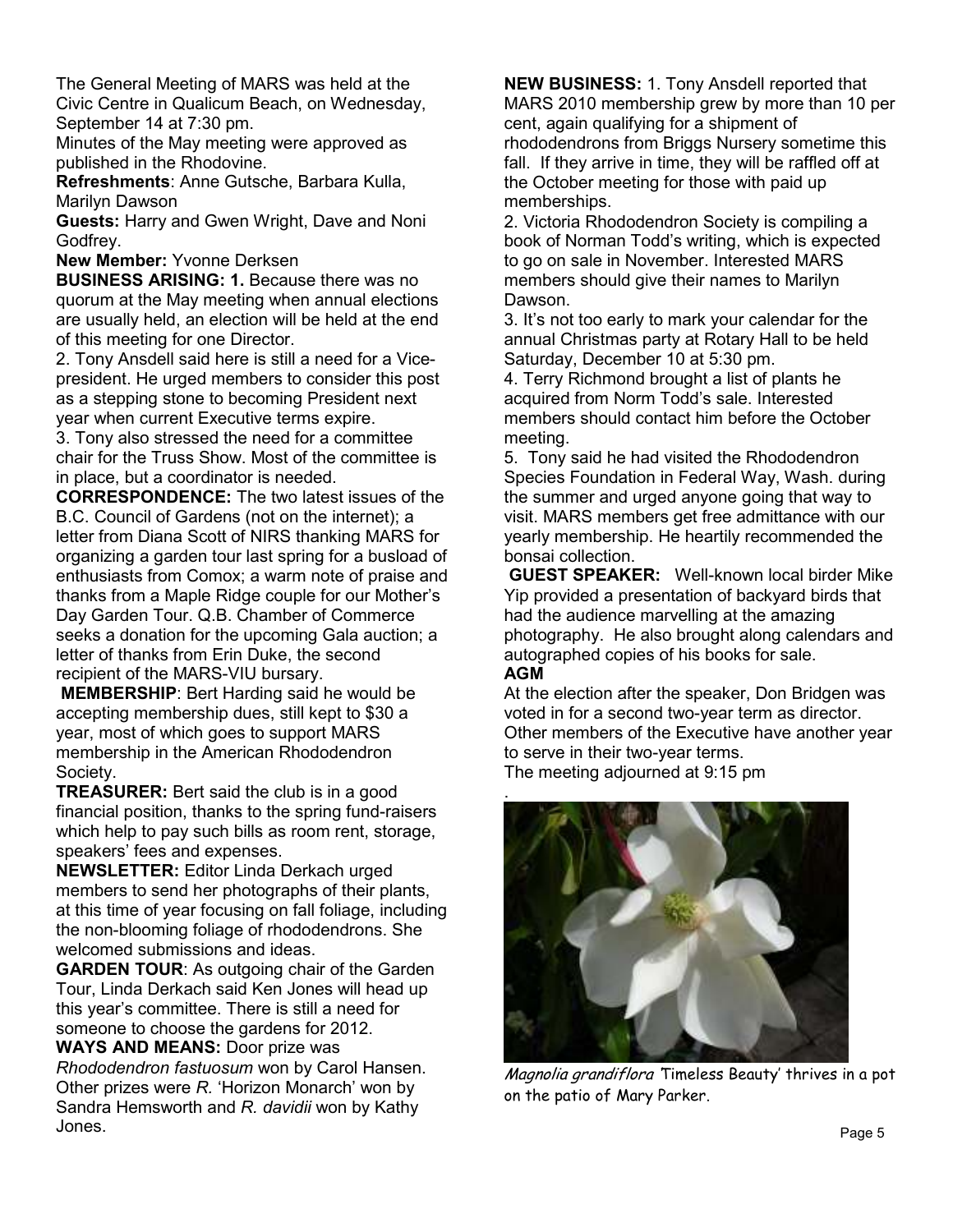The General Meeting of MARS was held at the Civic Centre in Qualicum Beach, on Wednesday, September 14 at 7:30 pm.

Minutes of the May meeting were approved as published in the Rhodovine.

**Refreshments**: Anne Gutsche, Barbara Kulla, Marilyn Dawson

**Guests:** Harry and Gwen Wright, Dave and Noni Godfrey.

**New Member:** Yvonne Derksen

**BUSINESS ARISING: 1.** Because there was no quorum at the May meeting when annual elections are usually held, an election will be held at the end of this meeting for one Director.

2. Tony Ansdell said here is still a need for a Vicepresident. He urged members to consider this post as a stepping stone to becoming President next year when current Executive terms expire.

3. Tony also stressed the need for a committee chair for the Truss Show. Most of the committee is in place, but a coordinator is needed.

**CORRESPONDENCE:** The two latest issues of the B.C. Council of Gardens (not on the internet); a letter from Diana Scott of NIRS thanking MARS for organizing a garden tour last spring for a busload of enthusiasts from Comox; a warm note of praise and thanks from a Maple Ridge couple for our Mother's Day Garden Tour. Q.B. Chamber of Commerce seeks a donation for the upcoming Gala auction; a letter of thanks from Erin Duke, the second recipient of the MARS-VIU bursary.

**MEMBERSHIP**: Bert Harding said he would be accepting membership dues, still kept to \$30 a year, most of which goes to support MARS membership in the American Rhododendron Society.

**TREASURER:** Bert said the club is in a good financial position, thanks to the spring fund-raisers which help to pay such bills as room rent, storage, speakers' fees and expenses.

**NEWSLETTER:** Editor Linda Derkach urged members to send her photographs of their plants, at this time of year focusing on fall foliage, including the non-blooming foliage of rhododendrons. She welcomed submissions and ideas.

**GARDEN TOUR**: As outgoing chair of the Garden Tour, Linda Derkach said Ken Jones will head up this year's committee. There is still a need for someone to choose the gardens for 2012.

**WAYS AND MEANS:** Door prize was

*Rhododendron fastuosum* won by Carol Hansen. Other prizes were *R.* 'Horizon Monarch' won by Sandra Hemsworth and *R. davidii* won by Kathy Jones.

**NEW BUSINESS:** 1. Tony Ansdell reported that MARS 2010 membership grew by more than 10 per cent, again qualifying for a shipment of rhododendrons from Briggs Nursery sometime this fall. If they arrive in time, they will be raffled off at the October meeting for those with paid up memberships.

2. Victoria Rhododendron Society is compiling a book of Norman Todd's writing, which is expected to go on sale in November. Interested MARS members should give their names to Marilyn Dawson.

3. It's not too early to mark your calendar for the annual Christmas party at Rotary Hall to be held Saturday, December 10 at 5:30 pm.

4. Terry Richmond brought a list of plants he acquired from Norm Todd's sale. Interested members should contact him before the October meeting.

5. Tony said he had visited the Rhododendron Species Foundation in Federal Way, Wash. during the summer and urged anyone going that way to visit. MARS members get free admittance with our yearly membership. He heartily recommended the bonsai collection.

**GUEST SPEAKER:** Well-known local birder Mike Yip provided a presentation of backyard birds that had the audience marvelling at the amazing photography. He also brought along calendars and autographed copies of his books for sale.

#### **AGM**

At the election after the speaker, Don Bridgen was voted in for a second two-year term as director. Other members of the Executive have another year to serve in their two-year terms.

The meeting adjourned at 9:15 pm



Magnolia grandiflora 'Timeless Beauty' thrives in a pot on the patio of Mary Parker.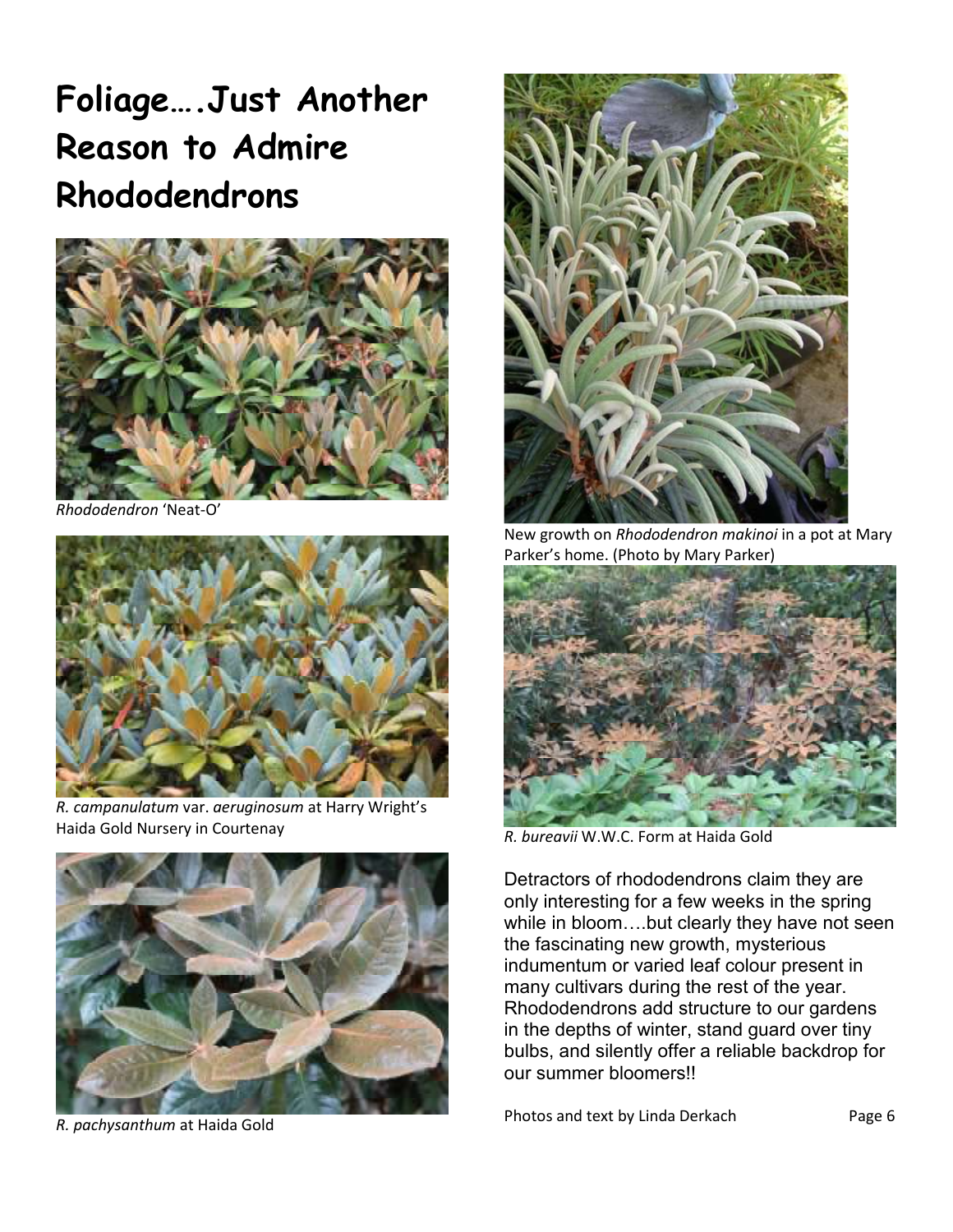### **Foliage….Just Another Reason to Admire Rhododendrons**



*Rhododendron* 'Neat-O'



*R. campanulatum* var. *aeruginosum* at Harry Wright's Haida Gold Nursery in Courtenay



*R. pachysanthum* at Haida Gold



New growth on *Rhododendron makinoi* in a pot at Mary Parker's home. (Photo by Mary Parker)



*R. bureavii* W.W.C. Form at Haida Gold

Detractors of rhododendrons claim they are only interesting for a few weeks in the spring while in bloom....but clearly they have not seen the fascinating new growth, mysterious indumentum or varied leaf colour present in many cultivars during the rest of the year. Rhododendrons add structure to our gardens in the depths of winter, stand guard over tiny bulbs, and silently offer a reliable backdrop for our summer bloomers!!

Photos and text by Linda Derkach Page 6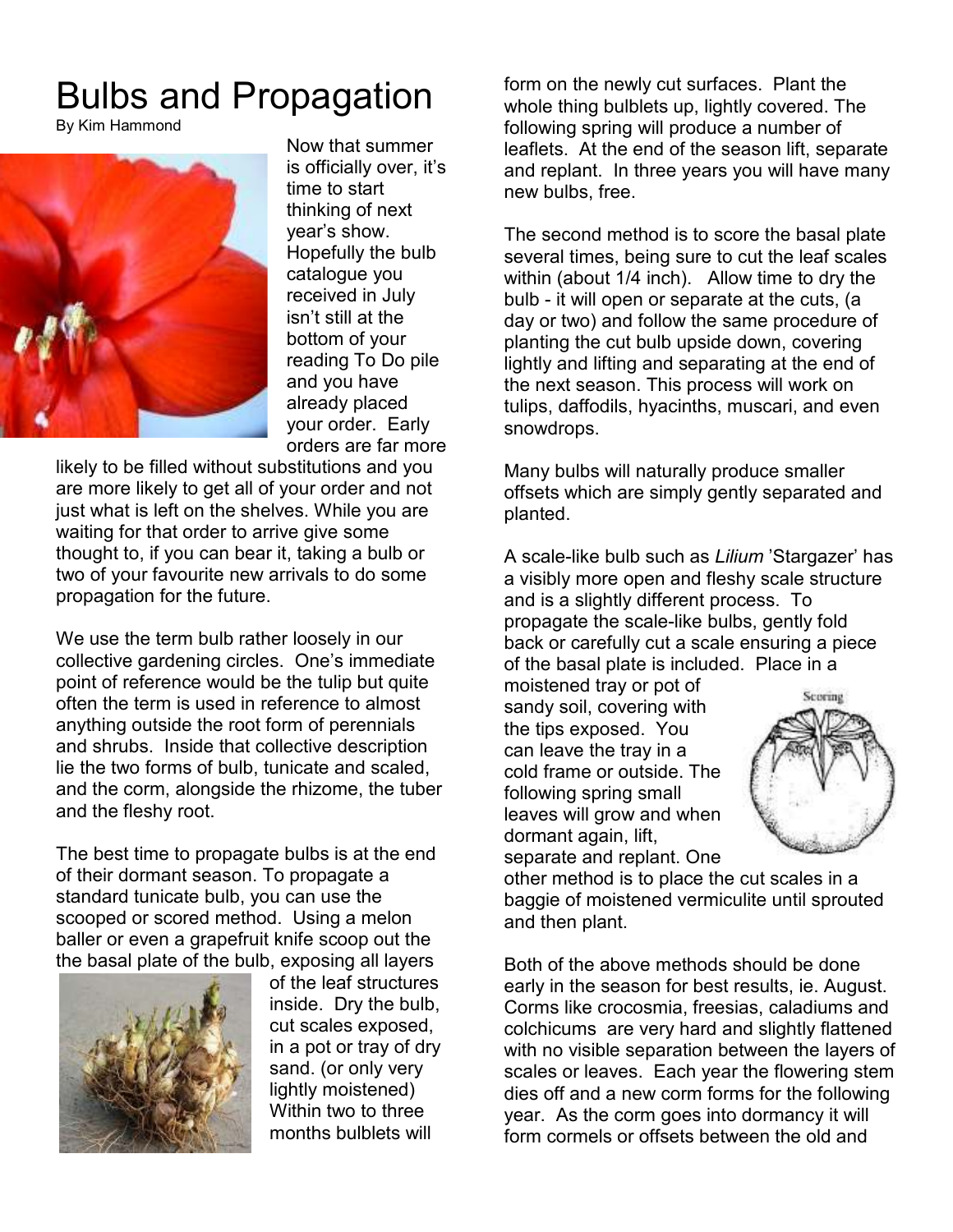### Bulbs and Propagation

By Kim Hammond



Now that summer is officially over, it's time to start thinking of next year's show. Hopefully the bulb catalogue you received in July isn't still at the bottom of your reading To Do pile and you have already placed your order. Early orders are far more

likely to be filled without substitutions and you are more likely to get all of your order and not just what is left on the shelves. While you are waiting for that order to arrive give some thought to, if you can bear it, taking a bulb or two of your favourite new arrivals to do some propagation for the future.

We use the term bulb rather loosely in our collective gardening circles. One's immediate point of reference would be the tulip but quite often the term is used in reference to almost anything outside the root form of perennials and shrubs. Inside that collective description lie the two forms of bulb, tunicate and scaled, and the corm, alongside the rhizome, the tuber and the fleshy root.

The best time to propagate bulbs is at the end of their dormant season. To propagate a standard tunicate bulb, you can use the scooped or scored method. Using a melon baller or even a grapefruit knife scoop out the the basal plate of the bulb, exposing all layers



of the leaf structures inside. Dry the bulb, cut scales exposed, in a pot or tray of dry sand. (or only very lightly moistened) Within two to three months bulblets will

form on the newly cut surfaces. Plant the whole thing bulblets up, lightly covered. The following spring will produce a number of leaflets. At the end of the season lift, separate and replant. In three years you will have many new bulbs, free.

The second method is to score the basal plate several times, being sure to cut the leaf scales within (about 1/4 inch). Allow time to dry the bulb - it will open or separate at the cuts, (a day or two) and follow the same procedure of planting the cut bulb upside down, covering lightly and lifting and separating at the end of the next season. This process will work on tulips, daffodils, hyacinths, muscari, and even snowdrops.

Many bulbs will naturally produce smaller offsets which are simply gently separated and planted.

A scale-like bulb such as *Lilium* 'Stargazer' has a visibly more open and fleshy scale structure and is a slightly different process. To propagate the scale-like bulbs, gently fold back or carefully cut a scale ensuring a piece of the basal plate is included. Place in a

moistened tray or pot of sandy soil, covering with the tips exposed. You can leave the tray in a cold frame or outside. The following spring small leaves will grow and when dormant again, lift, separate and replant. One



other method is to place the cut scales in a baggie of moistened vermiculite until sprouted and then plant.

Both of the above methods should be done early in the season for best results, ie. August. Corms like crocosmia, freesias, caladiums and colchicums are very hard and slightly flattened with no visible separation between the layers of scales or leaves. Each year the flowering stem dies off and a new corm forms for the following year. As the corm goes into dormancy it will form cormels or offsets between the old and